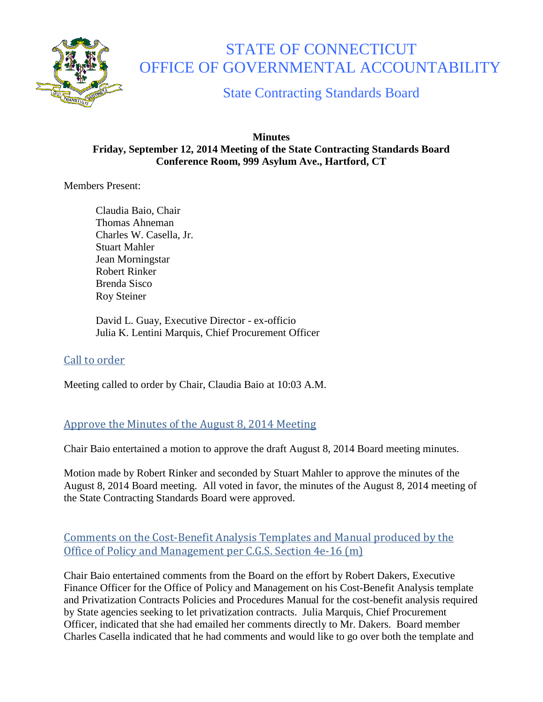

# STATE OF CONNECTICUT OFFICE OF GOVERNMENTAL ACCOUNTABILITY

State Contracting Standards Board

#### **Minutes Friday, September 12, 2014 Meeting of the State Contracting Standards Board Conference Room, 999 Asylum Ave., Hartford, CT**

Members Present:

Claudia Baio, Chair Thomas Ahneman Charles W. Casella, Jr. Stuart Mahler Jean Morningstar Robert Rinker Brenda Sisco Roy Steiner

David L. Guay, Executive Director - ex-officio Julia K. Lentini Marquis, Chief Procurement Officer

# Call to order

Meeting called to order by Chair, Claudia Baio at 10:03 A.M.

# Approve the Minutes of the August 8, 2014 Meeting

Chair Baio entertained a motion to approve the draft August 8, 2014 Board meeting minutes.

Motion made by Robert Rinker and seconded by Stuart Mahler to approve the minutes of the August 8, 2014 Board meeting. All voted in favor, the minutes of the August 8, 2014 meeting of the State Contracting Standards Board were approved.

# Comments on the Cost-Benefit Analysis Templates and Manual produced by the Office of Policy and Management per C.G.S. Section 4e-16 (m)

Chair Baio entertained comments from the Board on the effort by Robert Dakers, Executive Finance Officer for the Office of Policy and Management on his Cost-Benefit Analysis template and Privatization Contracts Policies and Procedures Manual for the cost-benefit analysis required by State agencies seeking to let privatization contracts. Julia Marquis, Chief Procurement Officer, indicated that she had emailed her comments directly to Mr. Dakers. Board member Charles Casella indicated that he had comments and would like to go over both the template and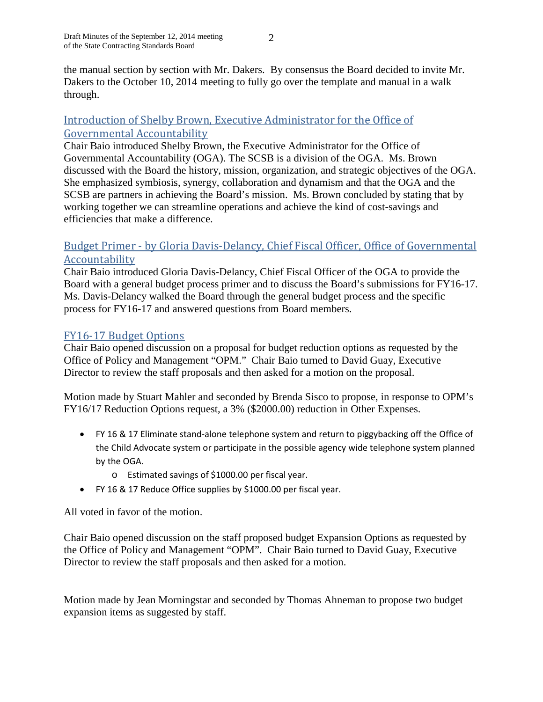$\mathcal{L}$ 

the manual section by section with Mr. Dakers. By consensus the Board decided to invite Mr. Dakers to the October 10, 2014 meeting to fully go over the template and manual in a walk through.

### Introduction of Shelby Brown, Executive Administrator for the Office of Governmental Accountability

Chair Baio introduced Shelby Brown, the Executive Administrator for the Office of Governmental Accountability (OGA). The SCSB is a division of the OGA. Ms. Brown discussed with the Board the history, mission, organization, and strategic objectives of the OGA. She emphasized symbiosis, synergy, collaboration and dynamism and that the OGA and the SCSB are partners in achieving the Board's mission. Ms. Brown concluded by stating that by working together we can streamline operations and achieve the kind of cost-savings and efficiencies that make a difference.

### Budget Primer - by Gloria Davis-Delancy, Chief Fiscal Officer, Office of Governmental Accountability

Chair Baio introduced Gloria Davis-Delancy, Chief Fiscal Officer of the OGA to provide the Board with a general budget process primer and to discuss the Board's submissions for FY16-17. Ms. Davis-Delancy walked the Board through the general budget process and the specific process for FY16-17 and answered questions from Board members.

## FY16-17 Budget Options

Chair Baio opened discussion on a proposal for budget reduction options as requested by the Office of Policy and Management "OPM." Chair Baio turned to David Guay, Executive Director to review the staff proposals and then asked for a motion on the proposal.

Motion made by Stuart Mahler and seconded by Brenda Sisco to propose, in response to OPM's FY16/17 Reduction Options request, a 3% (\$2000.00) reduction in Other Expenses.

- FY 16 & 17 Eliminate stand-alone telephone system and return to piggybacking off the Office of the Child Advocate system or participate in the possible agency wide telephone system planned by the OGA.
	- o Estimated savings of \$1000.00 per fiscal year.
- FY 16 & 17 Reduce Office supplies by \$1000.00 per fiscal year.

All voted in favor of the motion.

Chair Baio opened discussion on the staff proposed budget Expansion Options as requested by the Office of Policy and Management "OPM". Chair Baio turned to David Guay, Executive Director to review the staff proposals and then asked for a motion.

Motion made by Jean Morningstar and seconded by Thomas Ahneman to propose two budget expansion items as suggested by staff.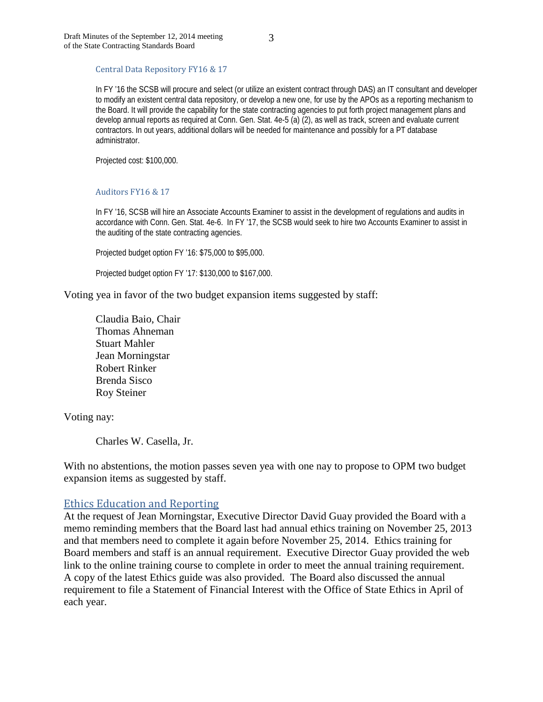Central Data Repository FY16 & 17

In FY '16 the SCSB will procure and select (or utilize an existent contract through DAS) an IT consultant and developer to modify an existent central data repository, or develop a new one, for use by the APOs as a reporting mechanism to the Board. It will provide the capability for the state contracting agencies to put forth project management plans and develop annual reports as required at Conn. Gen. Stat. 4e-5 (a) (2), as well as track, screen and evaluate current contractors. In out years, additional dollars will be needed for maintenance and possibly for a PT database administrator.

Projected cost: \$100,000.

#### Auditors FY16 & 17

In FY '16, SCSB will hire an Associate Accounts Examiner to assist in the development of regulations and audits in accordance with Conn. Gen. Stat. 4e-6. In FY '17, the SCSB would seek to hire two Accounts Examiner to assist in the auditing of the state contracting agencies.

Projected budget option FY '16: \$75,000 to \$95,000.

Projected budget option FY '17: \$130,000 to \$167,000.

Voting yea in favor of the two budget expansion items suggested by staff:

Claudia Baio, Chair Thomas Ahneman Stuart Mahler Jean Morningstar Robert Rinker Brenda Sisco Roy Steiner

Voting nay:

Charles W. Casella, Jr.

With no abstentions, the motion passes seven yea with one nay to propose to OPM two budget expansion items as suggested by staff.

#### Ethics Education and Reporting

At the request of Jean Morningstar, Executive Director David Guay provided the Board with a memo reminding members that the Board last had annual ethics training on November 25, 2013 and that members need to complete it again before November 25, 2014. Ethics training for Board members and staff is an annual requirement. Executive Director Guay provided the web link to the online training course to complete in order to meet the annual training requirement. A copy of the latest Ethics guide was also provided. The Board also discussed the annual requirement to file a Statement of Financial Interest with the Office of State Ethics in April of each year.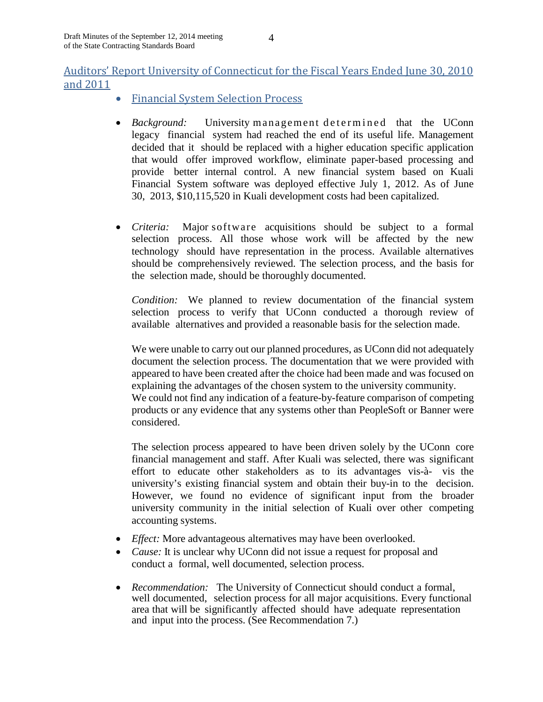# Auditors' Report University of Connecticut for the Fiscal Years Ended June 30, 2010 and 2011

- Financial System Selection Process
- *Background:* University management determined that the UConn legacy financial system had reached the end of its useful life. Management decided that it should be replaced with a higher education specific application that would offer improved workflow, eliminate paper-based processing and provide better internal control. A new financial system based on Kuali Financial System software was deployed effective July 1, 2012. As of June 30, 2013, \$10,115,520 in Kuali development costs had been capitalized.
- *Criteria:* Major software acquisitions should be subject to a formal selection process. All those whose work will be affected by the new technology should have representation in the process. Available alternatives should be comprehensively reviewed. The selection process, and the basis for the selection made, should be thoroughly documented.

*Condition:* We planned to review documentation of the financial system selection process to verify that UConn conducted a thorough review of available alternatives and provided a reasonable basis for the selection made.

We were unable to carry out our planned procedures, as UConn did not adequately document the selection process. The documentation that we were provided with appeared to have been created after the choice had been made and was focused on explaining the advantages of the chosen system to the university community. We could not find any indication of a feature-by-feature comparison of competing products or any evidence that any systems other than PeopleSoft or Banner were considered.

The selection process appeared to have been driven solely by the UConn core financial management and staff. After Kuali was selected, there was significant effort to educate other stakeholders as to its advantages vis-à- vis the university's existing financial system and obtain their buy-in to the decision. However, we found no evidence of significant input from the broader university community in the initial selection of Kuali over other competing accounting systems.

- *Effect:* More advantageous alternatives may have been overlooked.
- *Cause:* It is unclear why UConn did not issue a request for proposal and conduct a formal, well documented, selection process.
- *Recommendation:* The University of Connecticut should conduct a formal, well documented, selection process for all major acquisitions. Every functional area that will be significantly affected should have adequate representation and input into the process. (See Recommendation 7.)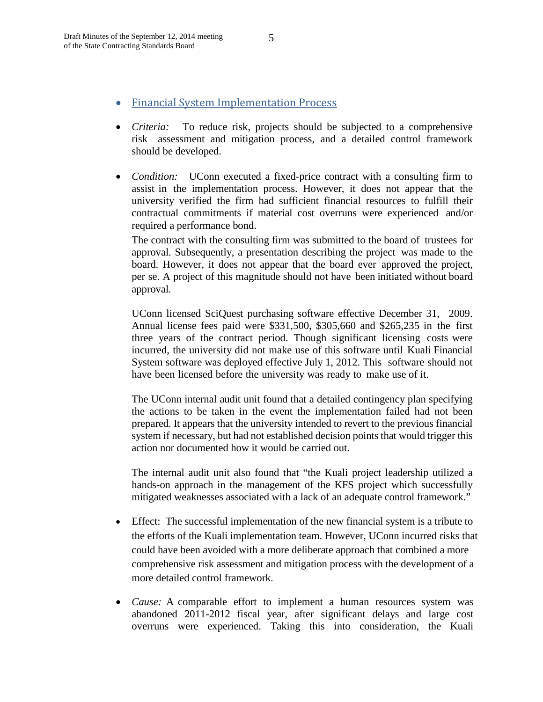- Financial System Implementation Process
- *Criteria:* To reduce risk, projects should be subjected to a comprehensive risk assessment and mitigation process, and a detailed control framework should be developed.
- *Condition:* UConn executed a fixed-price contract with a consulting firm to assist in the implementation process. However, it does not appear that the university verified the firm had sufficient financial resources to fulfill their contractual commitments if material cost overruns were experienced and/or required a performance bond.

The contract with the consulting firm was submitted to the board of trustees for approval. Subsequently, a presentation describing the project was made to the board. However, it does not appear that the board ever approved the project, per se. A project of this magnitude should not have been initiated without board approval.

UConn licensed SciQuest purchasing software effective December 31, 2009. Annual license fees paid were \$331,500, \$305,660 and \$265,235 in the first three years of the contract period. Though significant licensing costs were incurred, the university did not make use of this software until Kuali Financial System software was deployed effective July 1, 2012. This software should not have been licensed before the university was ready to make use of it.

The UConn internal audit unit found that a detailed contingency plan specifying the actions to be taken in the event the implementation failed had not been prepared. It appears that the university intended to revert to the previous financial system if necessary, but had not established decision points that would trigger this action nor documented how it would be carried out.

The internal audit unit also found that "the Kuali project leadership utilized a hands-on approach in the management of the KFS project which successfully mitigated weaknesses associated with a lack of an adequate control framework."

- Effect: The successful implementation of the new financial system is a tribute to the efforts of the Kuali implementation team. However, UConn incurred risks that could have been avoided with a more deliberate approach that combined a more comprehensive risk assessment and mitigation process with the development of a more detailed control framework.
- *Cause:* A comparable effort to implement a human resources system was abandoned 2011-2012 fiscal year, after significant delays and large cost overruns were experienced. Taking this into consideration, the Kuali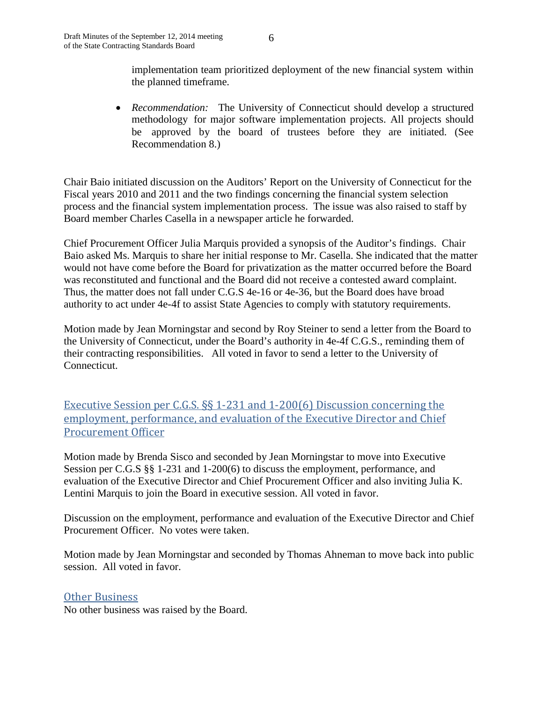implementation team prioritized deployment of the new financial system within the planned timeframe.

• *Recommendation:* The University of Connecticut should develop a structured methodology for major software implementation projects. All projects should be approved by the board of trustees before they are initiated. (See Recommendation 8.)

Chair Baio initiated discussion on the Auditors' Report on the University of Connecticut for the Fiscal years 2010 and 2011 and the two findings concerning the financial system selection process and the financial system implementation process. The issue was also raised to staff by Board member Charles Casella in a newspaper article he forwarded.

Chief Procurement Officer Julia Marquis provided a synopsis of the Auditor's findings. Chair Baio asked Ms. Marquis to share her initial response to Mr. Casella. She indicated that the matter would not have come before the Board for privatization as the matter occurred before the Board was reconstituted and functional and the Board did not receive a contested award complaint. Thus, the matter does not fall under C.G.S 4e-16 or 4e-36, but the Board does have broad authority to act under 4e-4f to assist State Agencies to comply with statutory requirements.

Motion made by Jean Morningstar and second by Roy Steiner to send a letter from the Board to the University of Connecticut, under the Board's authority in 4e-4f C.G.S., reminding them of their contracting responsibilities. All voted in favor to send a letter to the University of Connecticut.

Executive Session per C.G.S. §§ 1-231 and 1-200(6) Discussion concerning the employment, performance, and evaluation of the Executive Director and Chief Procurement Officer

Motion made by Brenda Sisco and seconded by Jean Morningstar to move into Executive Session per C.G.S §§ 1-231 and 1-200(6) to discuss the employment, performance, and evaluation of the Executive Director and Chief Procurement Officer and also inviting Julia K. Lentini Marquis to join the Board in executive session. All voted in favor.

Discussion on the employment, performance and evaluation of the Executive Director and Chief Procurement Officer. No votes were taken.

Motion made by Jean Morningstar and seconded by Thomas Ahneman to move back into public session. All voted in favor.

Other Business

No other business was raised by the Board.